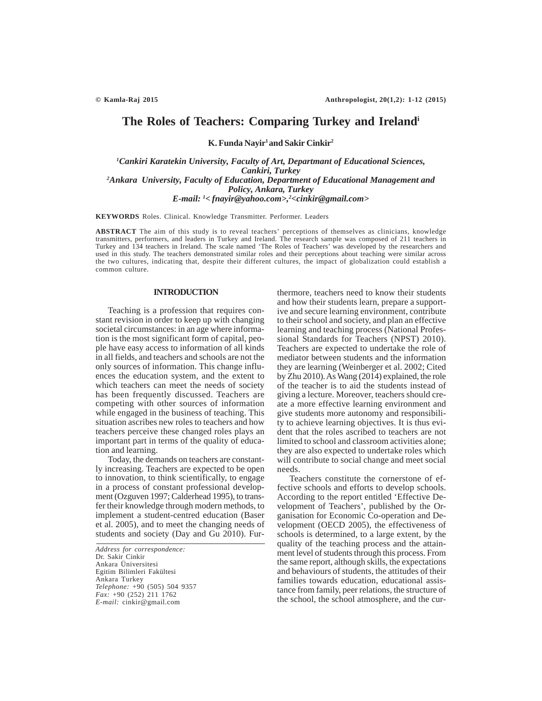# **The Roles of Teachers: Comparing Turkey and Irelandi**

**K. Funda Nayir1 and Sakir Cinkir2**

*1 Cankiri Karatekin University, Faculty of Art, Departmant of Educational Sciences, Cankiri, Turkey 2 Ankara University, Faculty of Education, Department of Educational Management and Policy, Ankara, Turkey E-mail: 1< fnayir@yahoo.com>,2 <cinkir@gmail.com>*

**KEYWORDS** Roles. Clinical. Knowledge Transmitter. Performer. Leaders

**ABSTRACT** The aim of this study is to reveal teachers' perceptions of themselves as clinicians, knowledge transmitters, performers, and leaders in Turkey and Ireland. The research sample was composed of 211 teachers in Turkey and 134 teachers in Ireland. The scale named 'The Roles of Teachers' was developed by the researchers and used in this study. The teachers demonstrated similar roles and their perceptions about teaching were similar across the two cultures, indicating that, despite their different cultures, the impact of globalization could establish a common culture.

## **INTRODUCTION**

Teaching is a profession that requires constant revision in order to keep up with changing societal circumstances: in an age where information is the most significant form of capital, people have easy access to information of all kinds in all fields, and teachers and schools are not the only sources of information. This change influences the education system, and the extent to which teachers can meet the needs of society has been frequently discussed. Teachers are competing with other sources of information while engaged in the business of teaching. This situation ascribes new roles to teachers and how teachers perceive these changed roles plays an important part in terms of the quality of education and learning.

Today, the demands on teachers are constantly increasing. Teachers are expected to be open to innovation, to think scientifically, to engage in a process of constant professional development (Ozguven 1997; Calderhead 1995), to transfer their knowledge through modern methods, to implement a student-centred education (Baser et al. 2005), and to meet the changing needs of students and society (Day and Gu 2010). Fur-

*Address for correspondence:* Dr. Sakir Cinkir Ankara Üniversitesi Egitim Bilimleri Fakültesi Ankara Turkey *Telephone:* +90 (505) 504 9357 *Fax:* +90 (252) 211 1762 *E-mail:* cinkir@gmail.com

thermore, teachers need to know their students and how their students learn, prepare a supportive and secure learning environment, contribute to their school and society, and plan an effective learning and teaching process (National Professional Standards for Teachers (NPST) 2010). Teachers are expected to undertake the role of mediator between students and the information they are learning (Weinberger et al. 2002; Cited by Zhu 2010). As Wang (2014) explained, the role of the teacher is to aid the students instead of giving a lecture. Moreover, teachers should create a more effective learning environment and give students more autonomy and responsibility to achieve learning objectives. It is thus evident that the roles ascribed to teachers are not limited to school and classroom activities alone; they are also expected to undertake roles which will contribute to social change and meet social needs.

Teachers constitute the cornerstone of effective schools and efforts to develop schools. According to the report entitled 'Effective Development of Teachers', published by the Organisation for Economic Co-operation and Development (OECD 2005), the effectiveness of schools is determined, to a large extent, by the quality of the teaching process and the attainment level of students through this process. From the same report, although skills, the expectations and behaviours of students, the attitudes of their families towards education, educational assistance from family, peer relations, the structure of the school, the school atmosphere, and the cur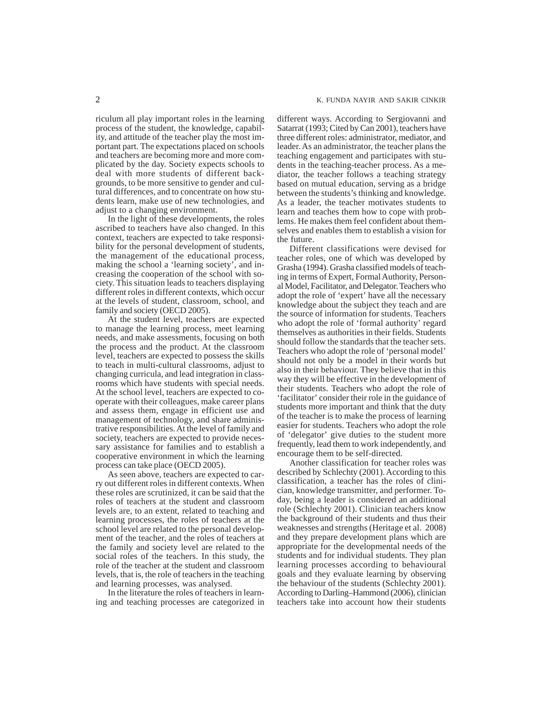riculum all play important roles in the learning process of the student, the knowledge, capability, and attitude of the teacher play the most important part. The expectations placed on schools and teachers are becoming more and more complicated by the day. Society expects schools to deal with more students of different backgrounds, to be more sensitive to gender and cultural differences, and to concentrate on how students learn, make use of new technologies, and adjust to a changing environment.

In the light of these developments, the roles ascribed to teachers have also changed. In this context, teachers are expected to take responsibility for the personal development of students, the management of the educational process, making the school a 'learning society', and increasing the cooperation of the school with society. This situation leads to teachers displaying different roles in different contexts, which occur at the levels of student, classroom, school, and family and society (OECD 2005).

At the student level, teachers are expected to manage the learning process, meet learning needs, and make assessments, focusing on both the process and the product. At the classroom level, teachers are expected to possess the skills to teach in multi-cultural classrooms, adjust to changing curricula, and lead integration in classrooms which have students with special needs. At the school level, teachers are expected to cooperate with their colleagues, make career plans and assess them, engage in efficient use and management of technology, and share administrative responsibilities. At the level of family and society, teachers are expected to provide necessary assistance for families and to establish a cooperative environment in which the learning process can take place (OECD 2005).

As seen above, teachers are expected to carry out different roles in different contexts. When these roles are scrutinized, it can be said that the roles of teachers at the student and classroom levels are, to an extent, related to teaching and learning processes, the roles of teachers at the school level are related to the personal development of the teacher, and the roles of teachers at the family and society level are related to the social roles of the teachers. In this study, the role of the teacher at the student and classroom levels, that is, the role of teachers in the teaching and learning processes, was analysed.

In the literature the roles of teachers in learning and teaching processes are categorized in different ways. According to Sergiovanni and Satarrat (1993; Cited by Can 2001), teachers have three different roles: administrator, mediator, and leader. As an administrator, the teacher plans the teaching engagement and participates with students in the teaching-teacher process. As a mediator, the teacher follows a teaching strategy based on mutual education, serving as a bridge between the students's thinking and knowledge. As a leader, the teacher motivates students to learn and teaches them how to cope with problems. He makes them feel confident about themselves and enables them to establish a vision for the future.

Different classifications were devised for teacher roles, one of which was developed by Grasha (1994). Grasha classified models of teaching in terms of Expert, Formal Authority, Personal Model, Facilitator, and Delegator. Teachers who adopt the role of 'expert' have all the necessary knowledge about the subject they teach and are the source of information for students. Teachers who adopt the role of 'formal authority' regard themselves as authorities in their fields. Students should follow the standards that the teacher sets. Teachers who adopt the role of 'personal model' should not only be a model in their words but also in their behaviour. They believe that in this way they will be effective in the development of their students. Teachers who adopt the role of 'facilitator' consider their role in the guidance of students more important and think that the duty of the teacher is to make the process of learning easier for students. Teachers who adopt the role of 'delegator' give duties to the student more frequently, lead them to work independently, and encourage them to be self-directed.

Another classification for teacher roles was described by Schlechty (2001). According to this classification, a teacher has the roles of clinician, knowledge transmitter, and performer. Today, being a leader is considered an additional role (Schlechty 2001). Clinician teachers know the background of their students and thus their weaknesses and strengths (Heritage et al. 2008) and they prepare development plans which are appropriate for the developmental needs of the students and for individual students. They plan learning processes according to behavioural goals and they evaluate learning by observing the behaviour of the students (Schlechty 2001). According to Darling–Hammond (2006), clinician teachers take into account how their students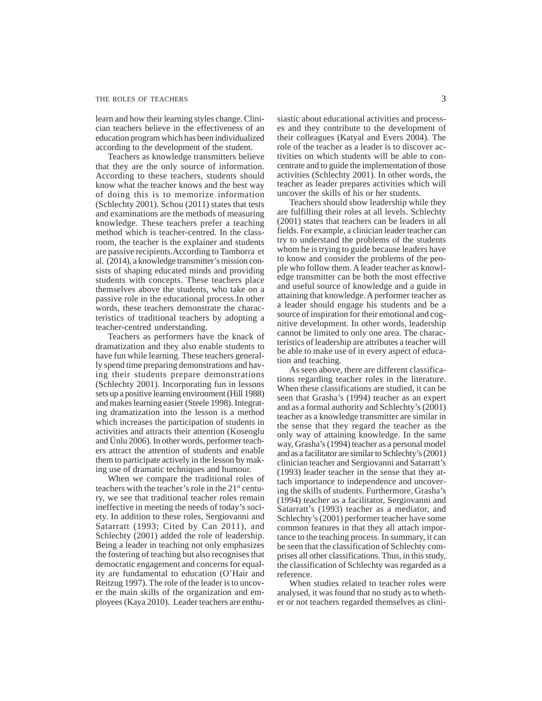### THE ROLES OF TEACHERS 3

learn and how their learning styles change. Clinician teachers believe in the effectiveness of an education program which has been individualized according to the development of the student.

Teachers as knowledge transmitters believe that they are the only source of information. According to these teachers, students should know what the teacher knows and the best way of doing this is to memorize information (Schlechty 2001). Schou (2011) states that tests and examinations are the methods of measuring knowledge. These teachers prefer a teaching method which is teacher-centred. In the classroom, the teacher is the explainer and students are passive recipients.According to Tamborra et al. (2014), a knowledge transmitter's mission consists of shaping educated minds and providing students with concepts. These teachers place themselves above the students, who take on a passive role in the educational process.In other words, these teachers demonstrate the characteristics of traditional teachers by adopting a teacher-centred understanding.

Teachers as performers have the knack of dramatization and they also enable students to have fun while learning. These teachers generally spend time preparing demonstrations and having their students prepare demonstrations (Schlechty 2001). Incorporating fun in lessons sets up a positive learning environment (Hill 1988) and makes learning easier (Steele 1998). Integrating dramatization into the lesson is a method which increases the participation of students in activities and attracts their attention (Koseoglu and Ünlu 2006). In other words, performer teachers attract the attention of students and enable them to participate actively in the lesson by making use of dramatic techniques and humour.

When we compare the traditional roles of teachers with the teacher's role in the  $21<sup>st</sup>$  century, we see that traditional teacher roles remain ineffective in meeting the needs of today's society. In addition to these roles, Sergiovanni and Satarratt (1993; Cited by Can 2011), and Schlechty (2001) added the role of leadership. Being a leader in teaching not only emphasizes the fostering of teaching but also recognises that democratic engagement and concerns for equality are fundamental to education (O'Hair and Reitzug 1997). The role of the leader is to uncover the main skills of the organization and employees (Kaya 2010). Leader teachers are enthusiastic about educational activities and processes and they contribute to the development of their colleagues (Katyal and Evers 2004). The role of the teacher as a leader is to discover activities on which students will be able to concentrate and to guide the implementation of those activities (Schlechty 2001). In other words, the teacher as leader prepares activities which will uncover the skills of his or her students.

Teachers should show leadership while they are fulfilling their roles at all levels. Schlechty (2001) states that teachers can be leaders in all fields. For example, a clinician leader teacher can try to understand the problems of the students whom he is trying to guide because leaders have to know and consider the problems of the people who follow them. A leader teacher as knowledge transmitter can be both the most effective and useful source of knowledge and a guide in attaining that knowledge. A performer teacher as a leader should engage his students and be a source of inspiration for their emotional and cognitive development. In other words, leadership cannot be limited to only one area. The characteristics of leadership are attributes a teacher will be able to make use of in every aspect of education and teaching.

As seen above, there are different classifications regarding teacher roles in the literature. When these classifications are studied, it can be seen that Grasha's (1994) teacher as an expert and as a formal authority and Schlechty's (2001) teacher as a knowledge transmitter are similar in the sense that they regard the teacher as the only way of attaining knowledge. In the same way, Grasha's (1994) teacher as a personal model and as a facilitator are similar to Schlechty's (2001) clinician teacher and Sergiovanni and Satarratt's (1993) leader teacher in the sense that they attach importance to independence and uncovering the skills of students. Furthermore, Grasha's (1994) teacher as a facilitator, Sergiovanni and Satarratt's (1993) teacher as a mediator, and Schlechty's (2001) performer teacher have some common features in that they all attach importance to the teaching process. In summary, it can be seen that the classification of Schlechty comprises all other classifications. Thus, in this study, the classification of Schlechty was regarded as a reference.

When studies related to teacher roles were analysed, it was found that no study as to whether or not teachers regarded themselves as clini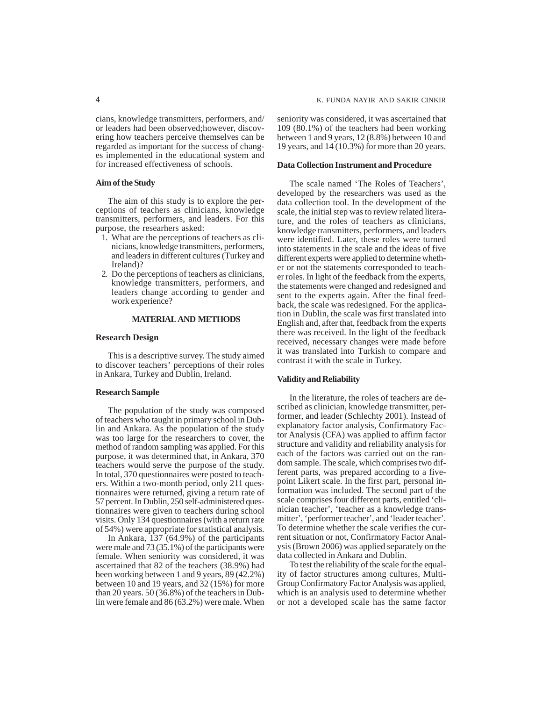cians, knowledge transmitters, performers, and/ or leaders had been observed;however, discovering how teachers perceive themselves can be regarded as important for the success of changes implemented in the educational system and for increased effectiveness of schools.

## **Aim of the Study**

The aim of this study is to explore the perceptions of teachers as clinicians, knowledge transmitters, performers, and leaders. For this purpose, the researhers asked:

- 1. What are the perceptions of teachers as clinicians, knowledge transmitters, performers, and leaders in different cultures (Turkey and Ireland)?
- 2. Do the perceptions of teachers as clinicians, knowledge transmitters, performers, and leaders change according to gender and work experience?

### **MATERIAL AND METHODS**

#### **Research Design**

This is a descriptive survey. The study aimed to discover teachers' perceptions of their roles in Ankara, Turkey and Dublin, Ireland.

#### **Research Sample**

The population of the study was composed of teachers who taught in primary school in Dublin and Ankara. As the population of the study was too large for the researchers to cover, the method of random sampling was applied. For this purpose, it was determined that, in Ankara, 370 teachers would serve the purpose of the study. In total, 370 questionnaires were posted to teachers. Within a two-month period, only 211 questionnaires were returned, giving a return rate of 57 percent. In Dublin, 250 self-administered questionnaires were given to teachers during school visits. Only 134 questionnaires (with a return rate of 54%) were appropriate for statistical analysis.

In Ankara, 137 (64.9%) of the participants were male and 73 (35.1%) of the participants were female. When seniority was considered, it was ascertained that 82 of the teachers (38.9%) had been working between 1 and 9 years, 89 (42.2%) between 10 and 19 years, and 32 (15%) for more than 20 years. 50 (36.8%) of the teachers in Dublin were female and 86 (63.2%) were male. When

seniority was considered, it was ascertained that 109 (80.1%) of the teachers had been working between 1 and 9 years, 12 (8.8%) between 10 and 19 years, and 14 (10.3%) for more than 20 years.

## **Data Collection Instrument and Procedure**

The scale named 'The Roles of Teachers', developed by the researchers was used as the data collection tool. In the development of the scale, the initial step was to review related literature, and the roles of teachers as clinicians, knowledge transmitters, performers, and leaders were identified. Later, these roles were turned into statements in the scale and the ideas of five different experts were applied to determine whether or not the statements corresponded to teacher roles. In light of the feedback from the experts, the statements were changed and redesigned and sent to the experts again. After the final feedback, the scale was redesigned. For the application in Dublin, the scale was first translated into English and, after that, feedback from the experts there was received. In the light of the feedback received, necessary changes were made before it was translated into Turkish to compare and contrast it with the scale in Turkey.

## **Validity and Reliability**

In the literature, the roles of teachers are described as clinician, knowledge transmitter, performer, and leader (Schlechty 2001). Instead of explanatory factor analysis, Confirmatory Factor Analysis (CFA) was applied to affirm factor structure and validity and reliability analysis for each of the factors was carried out on the random sample. The scale, which comprises two different parts, was prepared according to a fivepoint Likert scale. In the first part, personal information was included. The second part of the scale comprises four different parts, entitled 'clinician teacher', 'teacher as a knowledge transmitter', 'performer teacher', and 'leader teacher'. To determine whether the scale verifies the current situation or not, Confirmatory Factor Analysis (Brown 2006) was applied separately on the data collected in Ankara and Dublin.

To test the reliability of the scale for the equality of factor structures among cultures, Multi-Group Confirmatory Factor Analysis was applied, which is an analysis used to determine whether or not a developed scale has the same factor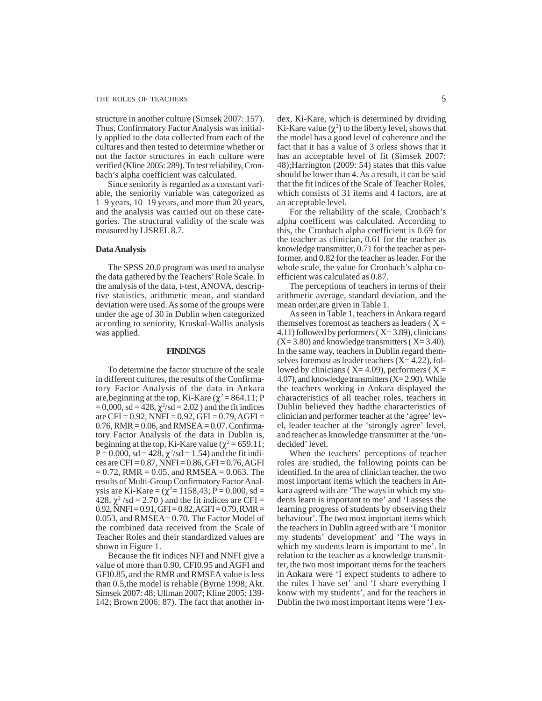structure in another culture (Simsek 2007: 157). Thus, Confirmatory Factor Analysis was initially applied to the data collected from each of the cultures and then tested to determine whether or not the factor structures in each culture were verified (Kline 2005: 289). To test reliability, Cronbach's alpha coefficient was calculated.

Since seniority is regarded as a constant variable, the seniority variable was categorized as 1–9 years, 10–19 years, and more than 20 years, and the analysis was carried out on these categories. The structural validity of the scale was measured by LISREL 8.7.

#### **Data Analysis**

The SPSS 20.0 program was used to analyse the data gathered by the Teachers' Role Scale. In the analysis of the data, t-test, ANOVA, descriptive statistics, arithmetic mean, and standard deviation were used. As some of the groups were under the age of 30 in Dublin when categorized according to seniority, Kruskal-Wallis analysis was applied.

## **FINDINGS**

To determine the factor structure of the scale in different cultures, the results of the Confirmatory Factor Analysis of the data in Ankara are, beginning at the top, Ki-Kare ( $\chi^2$  = 864.11; P  $= 0,000$ , sd  $= 428$ ,  $\chi^2$ /sd  $= 2.02$ ) and the fit indices are CFI =  $0.92$ , NNFI =  $0.92$ , GFI =  $0.79$ , AGFI =  $0.76$ , RMR =  $0.06$ , and RMSEA =  $0.07$ . Confirmatory Factor Analysis of the data in Dublin is, beginning at the top, Ki-Kare value ( $\chi^2$  = 659.11;  $P = 0.000$ , sd = 428,  $\chi^2$ /sd = 1.54) and the fit indices are CFI = 0.87, NNFI = 0.86, GFI = 0.76, AGFI  $= 0.72$ , RMR  $= 0.05$ , and RMSEA  $= 0.063$ . The results of Multi-Group Confirmatory Factor Analysis are Ki-Kare =  $(\chi^2 = 1158, 43; P = 0.000, sd =$  $428, \chi^2$ /sd = 2.70) and the fit indices are CFI =  $0.92$ , NNFI =  $0.91$ , GFI =  $0.82$ , AGFI =  $0.79$ , RMR = 0.053, and RMSEA= 0.70. The Factor Model of the combined data received from the Scale of Teacher Roles and their standardized values are shown in Figure 1.

Because the fit indices NFI and NNFI give a value of more than 0.90, CFI0.95 and AGFI and GFI0.85, and the RMR and RMSEA value is less than 0.5,the model is reliable (Byrne 1998; Akt. Simsek 2007: 48; Ullman 2007; Kline 2005: 139- 142; Brown 2006: 87). The fact that another index, Ki-Kare, which is determined by dividing Ki-Kare value  $(\chi^2)$  to the liberty level, shows that the model has a good level of coherence and the fact that it has a value of 3 orless shows that it has an acceptable level of fit (Simsek 2007: 48);Harrington (2009: 54) states that this value should be lower than 4. As a result, it can be said that the fit indices of the Scale of Teacher Roles, which consists of 31 items and 4 factors, are at an acceptable level.

For the reliability of the scale, Cronbach's alpha coefficent was calculated. According to this, the Cronbach alpha coefficient is 0.69 for the teacher as clinician, 0.61 for the teacher as knowledge transmitter, 0.71 for the teacher as performer, and 0.82 for the teacher as leader. For the whole scale, the value for Cronbach's alpha coefficient was calculated as 0.87.

The perceptions of teachers in terms of their arithmetic average, standard deviation, and the mean order,are given in Table 1.

As seen in Table 1, teachers in Ankara regard themselves foremost as teachers as leaders  $(X =$ 4.11) followed by performers  $(X=3.89)$ , clinicians  $(X= 3.80)$  and knowledge transmitters  $(X= 3.40)$ . In the same way, teachers in Dublin regard themselves foremost as leader teachers  $(X=4.22)$ , followed by clinicians ( $X=4.09$ ), performers ( $X=$ 4.07), and knowledge transmitters  $(X = 2.90)$ . While the teachers working in Ankara displayed the characteristics of all teacher roles, teachers in Dublin believed they hadthe characteristics of clinician and performer teacher at the 'agree' level, leader teacher at the 'strongly agree' level, and teacher as knowledge transmitter at the 'undecided' level.

When the teachers' perceptions of teacher roles are studied, the following points can be identified. In the area of clinician teacher, the two most important items which the teachers in Ankara agreed with are 'The ways in which my students learn is important to me' and 'I assess the learning progress of students by observing their behaviour'. The two most important items which the teachers in Dublin agreed with are 'I monitor my students' development' and 'The ways in which my students learn is important to me'. In relation to the teacher as a knowledge transmitter, the two most important items for the teachers in Ankara were 'I expect students to adhere to the rules I have set' and 'I share everything I know with my students', and for the teachers in Dublin the two most important items were 'I ex-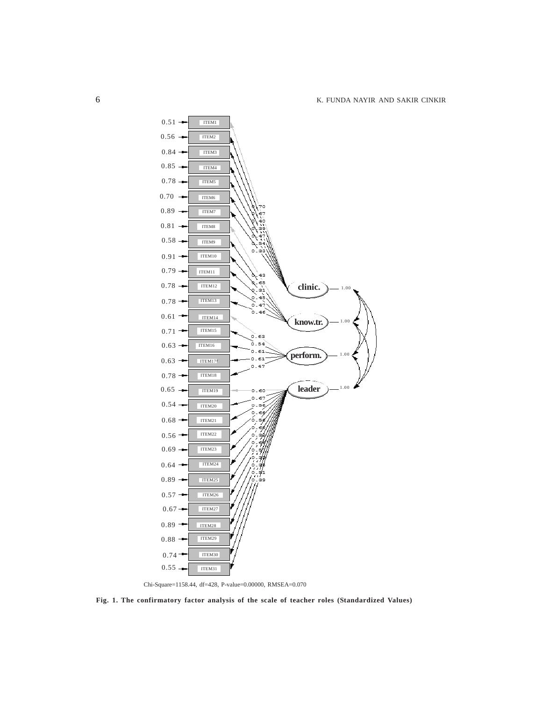

Chi-Square=1158.44, df=428, P-value=0.00000, RMSEA=0.070

**Fig. 1. The confirmatory factor analysis of the scale of teacher roles (Standardized Values)**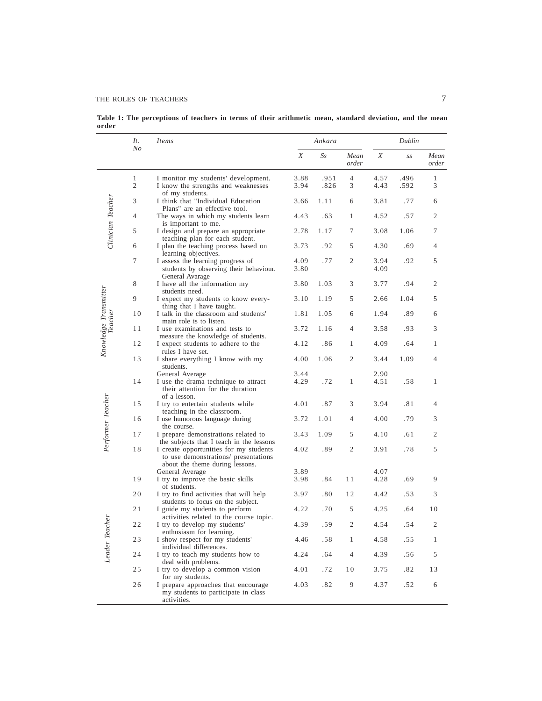## THE ROLES OF TEACHERS 7

**Table 1: The perceptions of teachers in terms of their arithmetic mean, standard deviation, and the mean order**

|                       | It.<br>No           | <i>Items</i>                                                                                                      | Ankara       |              |                | Dublin       |              |                |
|-----------------------|---------------------|-------------------------------------------------------------------------------------------------------------------|--------------|--------------|----------------|--------------|--------------|----------------|
|                       |                     |                                                                                                                   | X            | $S_{S}$      | Mean<br>order  | Χ            | SS           | Mean<br>order  |
|                       | 1<br>$\overline{2}$ | I monitor my students' development.<br>I know the strengths and weaknesses<br>of my students.                     | 3.88<br>3.94 | .951<br>.826 | 4<br>3         | 4.57<br>4.43 | .496<br>.592 | 1<br>3         |
| Clinician Teacher     | 3                   | I think that "Individual Education<br>Plans" are an effective tool.                                               | 3.66         | 1.11         | 6              | 3.81         | .77          | 6              |
|                       | $\overline{4}$      | The ways in which my students learn<br>is important to me.                                                        | 4.43         | .63          | $\mathbf{1}$   | 4.52         | .57          | $\overline{2}$ |
|                       | 5                   | I design and prepare an appropriate<br>teaching plan for each student.                                            | 2.78         | 1.17         | 7              | 3.08         | 1.06         | 7              |
|                       | 6                   | I plan the teaching process based on<br>learning objectives.                                                      | 3.73         | .92          | 5              | 4.30         | .69          | 4              |
|                       | 7                   | I assess the learning progress of<br>students by observing their behaviour.<br>General Avarage                    | 4.09<br>3.80 | .77          | 2              | 3.94<br>4.09 | .92          | 5              |
|                       | 8                   | I have all the information my<br>students need.                                                                   | 3.80         | 1.03         | 3              | 3.77         | .94          | 2              |
| Knowledge Transmitter | 9                   | I expect my students to know every-<br>thing that I have taught.                                                  | 3.10         | 1.19         | 5              | 2.66         | 1.04         | 5              |
|                       | 10                  | I talk in the classroom and students'<br>main role is to listen.                                                  | 1.81         | 1.05         | 6              | 1.94         | .89          | 6              |
|                       | 11                  | I use examinations and tests to<br>measure the knowledge of students.                                             | 3.72         | 1.16         | $\overline{4}$ | 3.58         | .93          | 3              |
|                       | 12                  | I expect students to adhere to the<br>rules I have set.                                                           | 4.12         | .86          | 1              | 4.09         | .64          | 1              |
|                       | 13                  | I share everything I know with my<br>students.                                                                    | 4.00         | 1.06         | 2              | 3.44         | 1.09         | 4              |
|                       | 14                  | General Average<br>I use the drama technique to attract<br>their attention for the duration<br>of a lesson.       | 3.44<br>4.29 | .72          | 1              | 2.90<br>4.51 | .58          | 1              |
| Performer Teacher     | 15                  | I try to entertain students while<br>teaching in the classroom.                                                   | 4.01         | .87          | 3              | 3.94         | .81          | 4              |
|                       | 16                  | I use humorous language during<br>the course.                                                                     | 3.72         | 1.01         | 4              | 4.00         | .79          | 3              |
|                       | 17                  | I prepare demonstrations related to<br>the subjects that I teach in the lessons                                   | 3.43         | 1.09         | 5              | 4.10         | .61          | $\overline{2}$ |
|                       | 18                  | I create opportunities for my students<br>to use demonstrations/ presentations<br>about the theme during lessons. | 4.02         | .89          | 2              | 3.91         | .78          | 5              |
|                       | 19                  | General Average<br>I try to improve the basic skills                                                              | 3.89<br>3.98 | .84          | 11             | 4.07<br>4.28 | .69          | 9              |
|                       |                     | of students.                                                                                                      |              |              |                |              |              |                |
|                       | 20                  | I try to find activities that will help<br>students to focus on the subject.                                      | 3.97         | .80          | 12             | 4.42         | .53          | 3              |
|                       | 21                  | I guide my students to perform<br>activities related to the course topic.                                         | 4.22         | .70          | 5              | 4.25         | .64          | 10             |
| icher                 | 22                  | I try to develop my students'<br>enthusiasm for learning.                                                         | 4.39         | .59          | 2              | 4.54         | .54          | $\mathfrak{2}$ |
| Leader Tec            | 23                  | I show respect for my students'<br>individual differences.                                                        | 4.46         | .58          | 1              | 4.58         | .55          | 1              |
|                       | 24                  | I try to teach my students how to<br>deal with problems.                                                          | 4.24         | .64          | $\overline{4}$ | 4.39         | .56          | 5              |
|                       | 25                  | I try to develop a common vision<br>for my students.                                                              | 4.01         | .72          | 10             | 3.75         | .82          | 13             |
|                       | 26                  | I prepare approaches that encourage<br>my students to participate in class<br>activities.                         | 4.03         | .82          | 9              | 4.37         | .52          | 6              |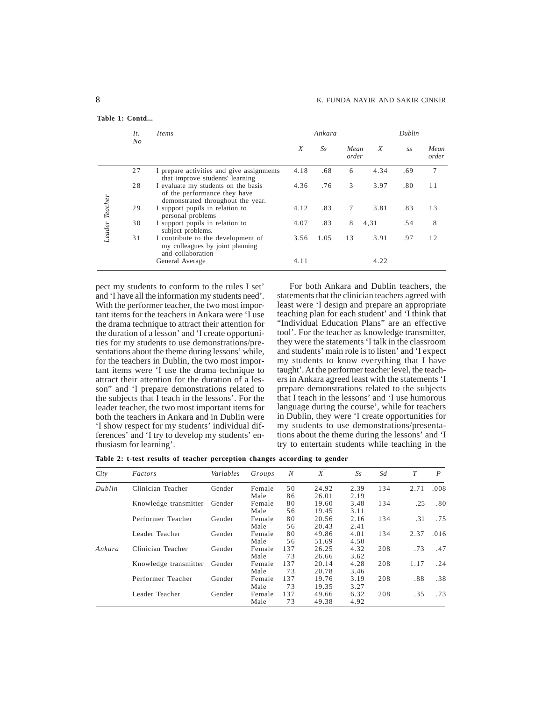|                | It.     | <i>Items</i>                                                                                             |      | Ankara  |               |      | Dublin |               |  |
|----------------|---------|----------------------------------------------------------------------------------------------------------|------|---------|---------------|------|--------|---------------|--|
|                | $N_{O}$ |                                                                                                          | X    | $S_{S}$ | Mean<br>order | X    | S.S    | Mean<br>order |  |
|                | 27      | I prepare activities and give assignments<br>that improve students' learning                             | 4.18 | .68     | 6             | 4.34 | .69    | 7             |  |
|                | 28      | I evaluate my students on the basis<br>of the performance they have<br>demonstrated throughout the year. | 4.36 | .76     | 3             | 3.97 | .80    | 11            |  |
|                | 29      | I support pupils in relation to<br>personal problems                                                     | 4.12 | .83     | 7             | 3.81 | .83    | 13            |  |
| Leader Teacher | 30      | I support pupils in relation to<br>subject problems.                                                     | 4.07 | .83     | 8             | 4,31 | .54    | 8             |  |
|                | 31      | I contribute to the development of<br>my colleagues by joint planning<br>and collaboration               | 3.56 | 1.05    | 13            | 3.91 | .97    | 12            |  |
|                |         | General Average                                                                                          | 4.11 |         |               | 4.22 |        |               |  |

pect my students to conform to the rules I set' and 'I have all the information my students need'. With the performer teacher, the two most important items for the teachers in Ankara were 'I use the drama technique to attract their attention for the duration of a lesson' and 'I create opportunities for my students to use demonstrations/presentations about the theme during lessons' while, for the teachers in Dublin, the two most important items were 'I use the drama technique to attract their attention for the duration of a lesson" and 'I prepare demonstrations related to the subjects that I teach in the lessons'. For the leader teacher, the two most important items for both the teachers in Ankara and in Dublin were 'I show respect for my students' individual differences' and 'I try to develop my students' enthusiasm for learning'.

For both Ankara and Dublin teachers, the statements that the clinician teachers agreed with least were 'I design and prepare an appropriate teaching plan for each student' and 'I think that "Individual Education Plans" are an effective tool'. For the teacher as knowledge transmitter, they were the statements 'I talk in the classroom and students' main role is to listen' and 'I expect my students to know everything that I have taught'. At the performer teacher level, the teachers in Ankara agreed least with the statements 'I prepare demonstrations related to the subjects that I teach in the lessons' and 'I use humorous language during the course', while for teachers in Dublin, they were 'I create opportunities for my students to use demonstrations/presentations about the theme during the lessons' and 'I try to entertain students while teaching in the

**Table 2: t-test results of teacher perception changes according to gender**

| City   | Factors               | Variables | Groups | N   | X     | $S_{S}$ | Sd  | T    | P    |
|--------|-----------------------|-----------|--------|-----|-------|---------|-----|------|------|
| Dublin | Clinician Teacher     | Gender    | Female | 50  | 24.92 | 2.39    | 134 | 2.71 | .008 |
|        |                       |           | Male   | 86  | 26.01 | 2.19    |     |      |      |
|        | Knowledge transmitter | Gender    | Female | 80  | 19.60 | 3.48    | 134 | .25  | .80  |
|        |                       |           | Male   | 56  | 19.45 | 3.11    |     |      |      |
|        | Performer Teacher     | Gender    | Female | 80  | 20.56 | 2.16    | 134 | .31  | .75  |
|        |                       |           | Male   | 56  | 20.43 | 2.41    |     |      |      |
|        | Leader Teacher        | Gender    | Female | 80  | 49.86 | 4.01    | 134 | 2.37 | .016 |
|        |                       |           | Male   | 56  | 51.69 | 4.50    |     |      |      |
| Ankara | Clinician Teacher     | Gender    | Female | 137 | 26.25 | 4.32    | 208 | .73  | .47  |
|        |                       |           | Male   | 73  | 26.66 | 3.62    |     |      |      |
|        | Knowledge transmitter | Gender    | Female | 137 | 20.14 | 4.28    | 208 | 1.17 | .24  |
|        |                       |           | Male   | 73  | 20.78 | 3.46    |     |      |      |
|        | Performer Teacher     | Gender    | Female | 137 | 19.76 | 3.19    | 208 | .88  | .38  |
|        |                       |           | Male   | 73  | 19.35 | 3.27    |     |      |      |
|        | Leader Teacher        | Gender    | Female | 137 | 49.66 | 6.32    | 208 | .35  | .73  |
|        |                       |           | Male   | 73  | 49.38 | 4.92    |     |      |      |

**Table 1: Contd...**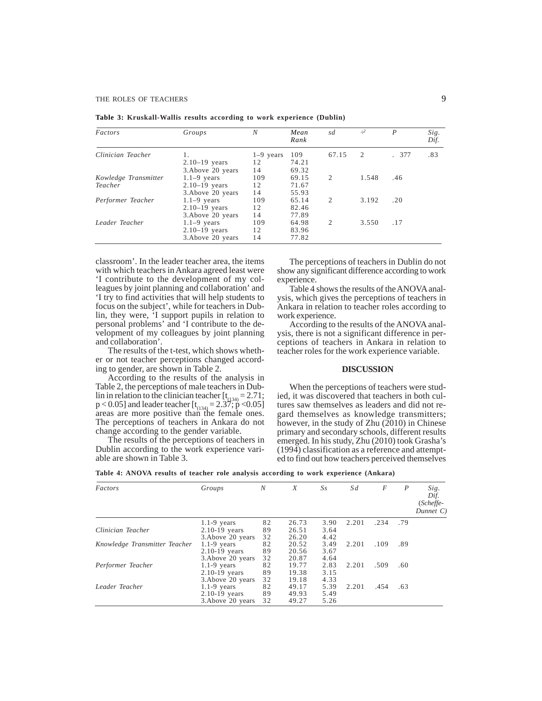| Factors              | Groups            | N           | Mean<br>Rank | sd             | $\div^2$ | $\boldsymbol{P}$ | Sig.<br>Dif. |
|----------------------|-------------------|-------------|--------------|----------------|----------|------------------|--------------|
| Clinician Teacher    |                   | $1-9$ years | 109          | 67.15          | 2        | .377             | .83          |
|                      | $2.10-19$ years   | 12          | 74.21        |                |          |                  |              |
|                      | 3. Above 20 years | 14          | 69.32        |                |          |                  |              |
| Kowledge Transmitter | $1.1-9$ years     | 109         | 69.15        | 2              | 1.548    | .46              |              |
| Teacher              | $2.10-19$ years   | 12          | 71.67        |                |          |                  |              |
|                      | 3. Above 20 years | 14          | 55.93        |                |          |                  |              |
| Performer Teacher    | $1.1-9$ years     | 109         | 65.14        | $\overline{2}$ | 3.192    | .20              |              |
|                      | $2.10-19$ years   | 12          | 82.46        |                |          |                  |              |
|                      | 3. Above 20 years | 14          | 77.89        |                |          |                  |              |
| Leader Teacher       | $1.1-9$ years     | 109         | 64.98        | $\overline{2}$ | 3.550    | .17              |              |
|                      | $2.10-19$ years   | 12          | 83.96        |                |          |                  |              |
|                      | 3. Above 20 years | 14          | 77.82        |                |          |                  |              |

**Table 3: Kruskall-Wallis results according to work experience (Dublin)**

classroom'. In the leader teacher area, the items with which teachers in Ankara agreed least were 'I contribute to the development of my colleagues by joint planning and collaboration' and 'I try to find activities that will help students to focus on the subject', while for teachers in Dublin, they were, 'I support pupils in relation to personal problems' and 'I contribute to the development of my colleagues by joint planning and collaboration'.

The results of the t-test, which shows whether or not teacher perceptions changed according to gender, are shown in Table 2.

According to the results of the analysis in Table 2, the perceptions of male teachers in Dublin in relation to the clinician teacher  $[t<sub>(134)</sub>] = 2.71;$  $p < 0.05$ ] and leader teacher  $[t<sub>(134)</sub> = 2.37; p < 0.05]$ <br>areas are more positive than the female ones. The perceptions of teachers in Ankara do not change according to the gender variable.

The results of the perceptions of teachers in Dublin according to the work experience variable are shown in Table 3.

The perceptions of teachers in Dublin do not show any significant difference according to work experience.

Table 4 shows the results of the ANOVA analysis, which gives the perceptions of teachers in Ankara in relation to teacher roles according to work experience.

According to the results of the ANOVA analysis, there is not a significant difference in perceptions of teachers in Ankara in relation to teacher roles for the work experience variable.

### **DISCUSSION**

When the perceptions of teachers were studied, it was discovered that teachers in both cultures saw themselves as leaders and did not regard themselves as knowledge transmitters; however, in the study of Zhu (2010) in Chinese primary and secondary schools, different results emerged. In his study, Zhu (2010) took Grasha's (1994) classification as a reference and attempted to find out how teachers perceived themselves

**Table 4: ANOVA results of teacher role analysis according to work experience (Ankara)**

| Factors                       | Groups            | N  | X     | $S_{S}$ | Sd    | F    | $\boldsymbol{P}$ | Sig.<br>Dif.<br>(Scheffe-<br>Dunnet C) |
|-------------------------------|-------------------|----|-------|---------|-------|------|------------------|----------------------------------------|
|                               | $1.1-9$ years     | 82 | 26.73 | 3.90    | 2.201 | .234 | .79              |                                        |
| Clinician Teacher             | $2.10-19$ years   | 89 | 26.51 | 3.64    |       |      |                  |                                        |
|                               | 3. Above 20 years | 32 | 26.20 | 4.42    |       |      |                  |                                        |
| Knowledge Transmitter Teacher | $1.1-9$ years     | 82 | 20.52 | 3.49    | 2.201 | .109 | .89              |                                        |
|                               | $2.10 - 19$ years | 89 | 20.56 | 3.67    |       |      |                  |                                        |
|                               | 3. Above 20 years | 32 | 20.87 | 4.64    |       |      |                  |                                        |
| Performer Teacher             | $1.1-9$ years     | 82 | 19.77 | 2.83    | 2.201 | .509 | .60              |                                        |
|                               | $2.10 - 19$ years | 89 | 19.38 | 3.15    |       |      |                  |                                        |
|                               | 3. Above 20 years | 32 | 19.18 | 4.33    |       |      |                  |                                        |
| Leader Teacher                | $1.1-9$ years     | 82 | 49.17 | 5.39    | 2.201 | .454 | .63              |                                        |
|                               | $2.10 - 19$ years | 89 | 49.93 | 5.49    |       |      |                  |                                        |
|                               | 3. Above 20 years | 32 | 49.27 | 5.26    |       |      |                  |                                        |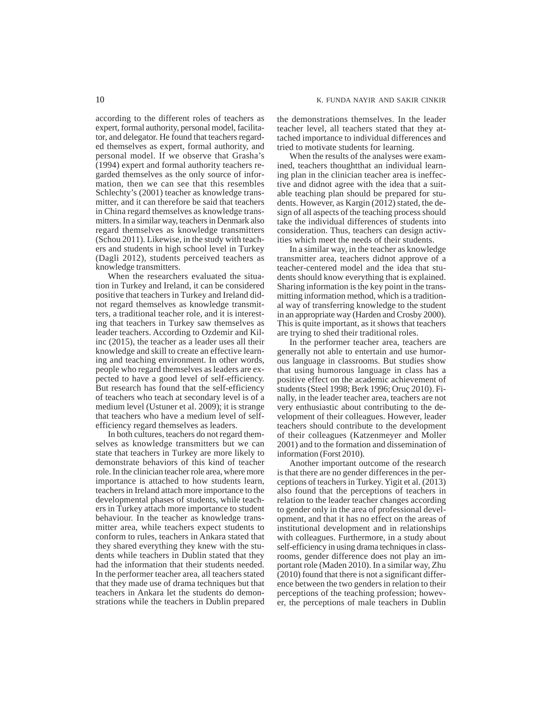according to the different roles of teachers as expert, formal authority, personal model, facilitator, and delegator. He found that teachers regarded themselves as expert, formal authority, and personal model. If we observe that Grasha's (1994) expert and formal authority teachers regarded themselves as the only source of information, then we can see that this resembles Schlechty's (2001) teacher as knowledge transmitter, and it can therefore be said that teachers in China regard themselves as knowledge transmitters. In a similar way, teachers in Denmark also regard themselves as knowledge transmitters (Schou 2011). Likewise, in the study with teachers and students in high school level in Turkey (Dagli 2012), students perceived teachers as knowledge transmitters.

When the researchers evaluated the situation in Turkey and Ireland, it can be considered positive that teachers in Turkey and Ireland didnot regard themselves as knowledge transmitters, a traditional teacher role, and it is interesting that teachers in Turkey saw themselves as leader teachers. According to Ozdemir and Kilinc (2015), the teacher as a leader uses all their knowledge and skill to create an effective learning and teaching environment. In other words, people who regard themselves as leaders are expected to have a good level of self-efficiency. But research has found that the self-efficiency of teachers who teach at secondary level is of a medium level (Ustuner et al. 2009); it is strange that teachers who have a medium level of selfefficiency regard themselves as leaders.

In both cultures, teachers do not regard themselves as knowledge transmitters but we can state that teachers in Turkey are more likely to demonstrate behaviors of this kind of teacher role. In the clinician teacher role area, where more importance is attached to how students learn, teachers in Ireland attach more importance to the developmental phases of students, while teachers in Turkey attach more importance to student behaviour. In the teacher as knowledge transmitter area, while teachers expect students to conform to rules, teachers in Ankara stated that they shared everything they knew with the students while teachers in Dublin stated that they had the information that their students needed. In the performer teacher area, all teachers stated that they made use of drama techniques but that teachers in Ankara let the students do demonstrations while the teachers in Dublin prepared the demonstrations themselves. In the leader teacher level, all teachers stated that they attached importance to individual differences and tried to motivate students for learning.

When the results of the analyses were examined, teachers thoughtthat an individual learning plan in the clinician teacher area is ineffective and didnot agree with the idea that a suitable teaching plan should be prepared for students. However, as Kargin (2012) stated, the design of all aspects of the teaching process should take the individual differences of students into consideration. Thus, teachers can design activities which meet the needs of their students.

In a similar way, in the teacher as knowledge transmitter area, teachers didnot approve of a teacher-centered model and the idea that students should know everything that is explained. Sharing information is the key point in the transmitting information method, which is a traditional way of transferring knowledge to the student in an appropriate way (Harden and Crosby 2000). This is quite important, as it shows that teachers are trying to shed their traditional roles.

In the performer teacher area, teachers are generally not able to entertain and use humorous language in classrooms. But studies show that using humorous language in class has a positive effect on the academic achievement of students (Steel 1998; Berk 1996; Oruç 2010). Finally, in the leader teacher area, teachers are not very enthusiastic about contributing to the development of their colleagues. However, leader teachers should contribute to the development of their colleagues (Katzenmeyer and Moller 2001) and to the formation and dissemination of information (Forst 2010).

Another important outcome of the research is that there are no gender differences in the perceptions of teachers in Turkey. Yigit et al. (2013) also found that the perceptions of teachers in relation to the leader teacher changes according to gender only in the area of professional development, and that it has no effect on the areas of institutional development and in relationships with colleagues. Furthermore, in a study about self-efficiency in using drama techniques in classrooms, gender difference does not play an important role (Maden 2010). In a similar way, Zhu (2010) found that there is not a significant difference between the two genders in relation to their perceptions of the teaching profession; however, the perceptions of male teachers in Dublin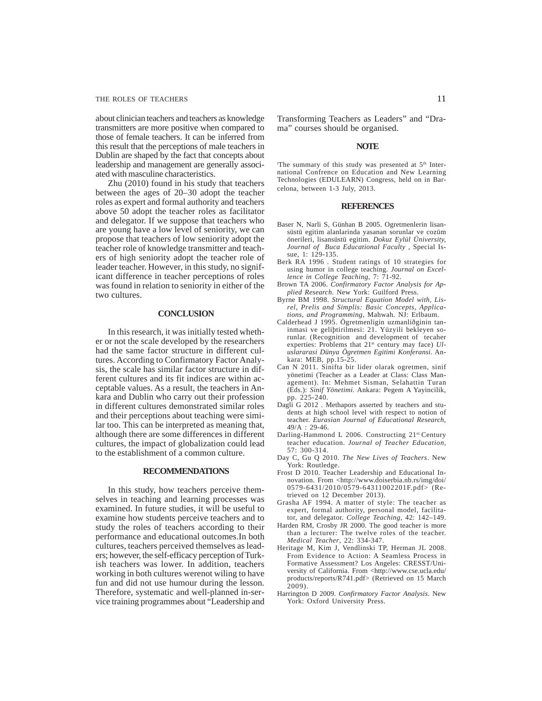### THE ROLES OF TEACHERS 11

about clinician teachers and teachers as knowledge transmitters are more positive when compared to those of female teachers. It can be inferred from this result that the perceptions of male teachers in Dublin are shaped by the fact that concepts about leadership and management are generally associated with masculine characteristics.

Zhu (2010) found in his study that teachers between the ages of 20–30 adopt the teacher roles as expert and formal authority and teachers above 50 adopt the teacher roles as facilitator and delegator. If we suppose that teachers who are young have a low level of seniority, we can propose that teachers of low seniority adopt the teacher role of knowledge transmitter and teachers of high seniority adopt the teacher role of leader teacher. However, in this study, no significant difference in teacher perceptions of roles was found in relation to seniority in either of the two cultures.

## **CONCLUSION**

In this research, it was initially tested whether or not the scale developed by the researchers had the same factor structure in different cultures. According to Confirmatory Factor Analysis, the scale has similar factor structure in different cultures and its fit indices are within acceptable values. As a result, the teachers in Ankara and Dublin who carry out their profession in different cultures demonstrated similar roles and their perceptions about teaching were similar too. This can be interpreted as meaning that, although there are some differences in different cultures, the impact of globalization could lead to the establishment of a common culture.

#### **RECOMMENDATIONS**

In this study, how teachers perceive themselves in teaching and learning processes was examined. In future studies, it will be useful to examine how students perceive teachers and to study the roles of teachers according to their performance and educational outcomes.In both cultures, teachers perceived themselves as leaders; however, the self-efficacy perception of Turkish teachers was lower. In addition, teachers working in both cultures werenot wiling to have fun and did not use humour during the lesson. Therefore, systematic and well-planned in-service training programmes about "Leadership and

Transforming Teachers as Leaders" and "Drama" courses should be organised.

#### **NOTE**

The summary of this study was presented at 5<sup>th</sup> International Confrence on Education and New Learning Technologies (EDULEARN) Congress, held on in Barcelona, between 1-3 July, 2013.

#### **REFERENCES**

- Baser N, Narli S, Günhan B 2005. Ogretmenlerin lisansüstü egitim alanlarinda yasanan sorunlar ve cozüm önerileri, lisansüstü egitim. *Dokuz Eylül Üniversity, Journal of Buca Educational Faculty* , Special Issue, 1: 129-135.
- Berk RA 1996 . Student ratings of 10 strategies for using humor in college teaching. *Journal on Excellence in College Teaching,* 7: 71-92.
- Brown TA 2006. *Confirmatory Factor Analysis for Applied Research*. New York: Guilford Press.
- Byrne BM 1998. *Structural Equation Model with, Lisrel, Prelis and Simplis: Basic Concepts, Applications, and Programming*, Mahwah. NJ: Erlbaum.
- Calderhead J 1995. Ögretmenligin uzmanliðginin taninmasi ve geliþtirilmesi: 21. Yüzyili bekleyen sorunlar. (Recognition and development of tecaher experties: Problems that 21<sup>st</sup> century may face) *Uluslararasi Dünya Ögretmen Egitimi Konferansi*. Ankara: MEB, pp.15-25.
- Can N 2011. Sinifta bir lider olarak ogretmen, sinif yönetimi (Teacher as a Leader at Class: Class Management). In: Mehmet Sisman, Selahattin Turan (Eds.): *Sinif Yönetimi.* Ankara: Pegem A Yayincilik, pp. 225-240.
- Dagli G 2012 . Methapors asserted by teachers and students at high school level with respect to notion of teacher. *Eurasian Journal of Educational Research*, 49/A : 29-46.
- Darling-Hammond L 2006. Constructing 21st Century teacher education. *Journal of Teacher Education,* 57: 300-314.
- Day C, Gu Q 2010. *The New Lives of Teachers*. New York: Routledge.
- Frost D 2010. Teacher Leadership and Educational Innovation. From <http://www.doiserbia.nb.rs/img/doi/ 0579-6431/2010/0579-64311002201F.pdf> (Retrieved on 12 December 2013).
- Grasha AF 1994. A matter of style: The teacher as expert, formal authority, personal model, facilitator, and delegator. *College Teaching*, 42: 142–149.
- Harden RM, Crosby JR 2000. The good teacher is more than a lecturer: The twelve roles of the teacher. *Medical Teacher*, 22: 334-347.
- Heritage M, Kim J, Vendlinski TP, Herman JL 2008. From Evidence to Action: A Seamless Process in Formative Assessment? Los Angeles: CRESST/University of California. From <http://www.cse.ucla.edu/ products/reports/R741.pdf> (Retrieved on 15 March  $2009$ ).
- Harrington D 2009. *Confirmatory Factor Analysis*. New York: Oxford University Press.